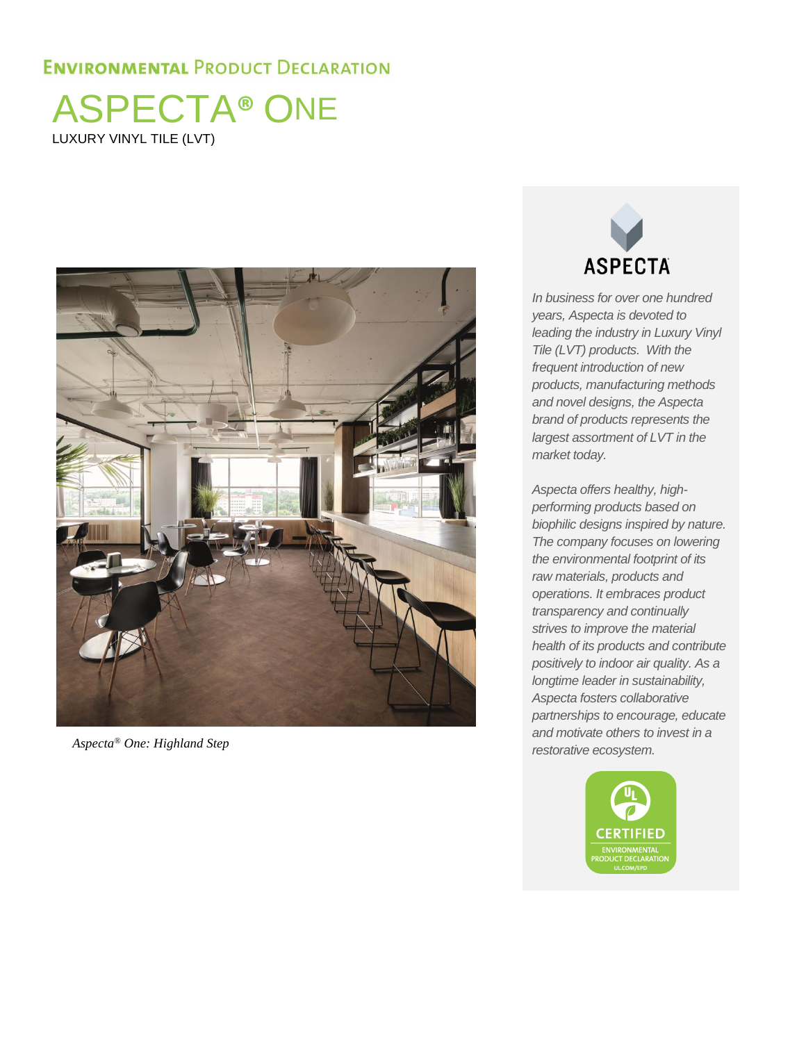ASPECTA**®** ONE LUXURY VINYL TILE (LVT)





*In business for over one hundred years, Aspecta is devoted to leading the industry in Luxury Vinyl Tile (LVT) products. With the frequent introduction of new products, manufacturing methods and novel designs, the Aspecta brand of products represents the largest assortment of LVT in the market today.* 

*Aspecta offers healthy, highperforming products based on biophilic designs inspired by nature. The company focuses on lowering the environmental footprint of its raw materials, products and operations. It embraces product transparency and continually strives to improve the material health of its products and contribute positively to indoor air quality. As a longtime leader in sustainability, Aspecta fosters collaborative partnerships to encourage, educate and motivate others to invest in a restorative ecosystem. Aspecta® One: Highland Step*

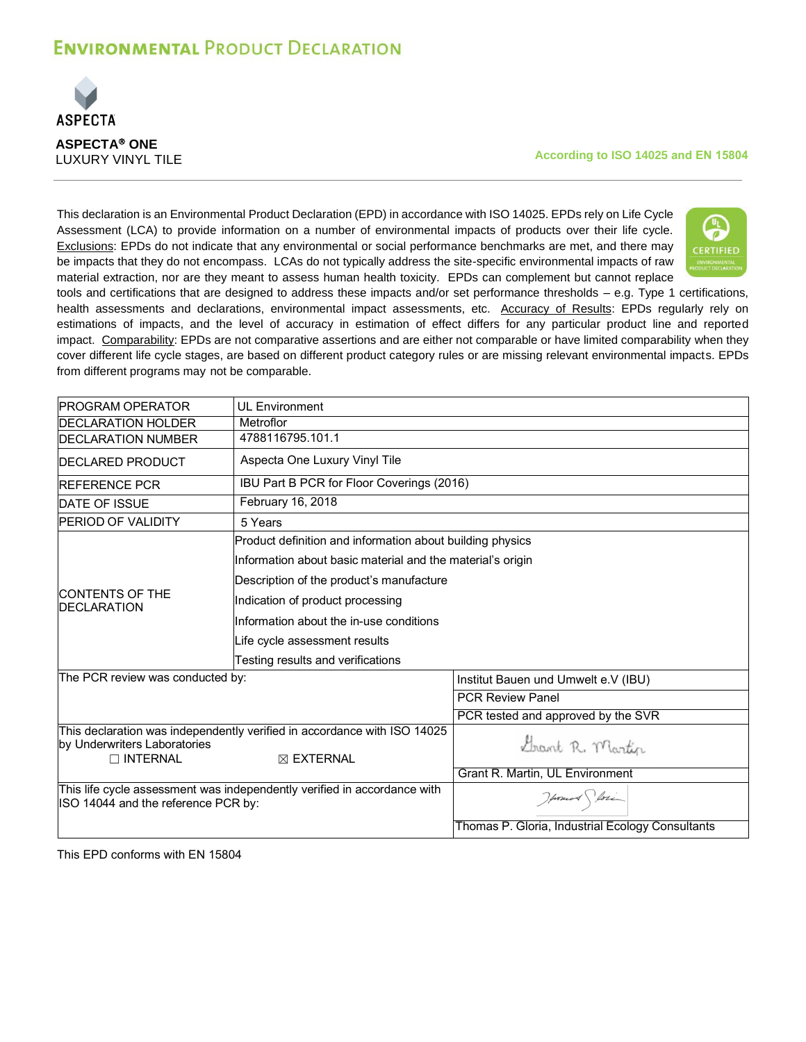

#### **According to ISO 14025 and EN 15804**

This declaration is an Environmental Product Declaration (EPD) in accordance with ISO 14025. EPDs rely on Life Cycle Assessment (LCA) to provide information on a number of environmental impacts of products over their life cycle. Exclusions: EPDs do not indicate that any environmental or social performance benchmarks are met, and there may be impacts that they do not encompass. LCAs do not typically address the site-specific environmental impacts of raw material extraction, nor are they meant to assess human health toxicity. EPDs can complement but cannot replace



tools and certifications that are designed to address these impacts and/or set performance thresholds – e.g. Type 1 certifications, health assessments and declarations, environmental impact assessments, etc. Accuracy of Results: EPDs regularly rely on estimations of impacts, and the level of accuracy in estimation of effect differs for any particular product line and reported impact. Comparability: EPDs are not comparative assertions and are either not comparable or have limited comparability when they cover different life cycle stages, are based on different product category rules or are missing relevant environmental impacts. EPDs from different programs may not be comparable.

| <b>PROGRAM OPERATOR</b>                         | <b>UL Environment</b>                                                                            |                                                  |
|-------------------------------------------------|--------------------------------------------------------------------------------------------------|--------------------------------------------------|
| <b>IDECLARATION HOLDER</b>                      | Metroflor                                                                                        |                                                  |
| <b>IDECLARATION NUMBER</b>                      | 4788116795.101.1                                                                                 |                                                  |
| <b>IDECLARED PRODUCT</b>                        | Aspecta One Luxury Vinyl Tile                                                                    |                                                  |
| <b>REFERENCE PCR</b>                            | IBU Part B PCR for Floor Coverings (2016)                                                        |                                                  |
| <b>DATE OF ISSUE</b>                            | February 16, 2018                                                                                |                                                  |
| <b>PERIOD OF VALIDITY</b>                       | 5 Years                                                                                          |                                                  |
|                                                 | Product definition and information about building physics                                        |                                                  |
|                                                 | Information about basic material and the material's origin                                       |                                                  |
|                                                 | Description of the product's manufacture                                                         |                                                  |
| <b>CONTENTS OF THE</b><br><b>IDECLARATION</b>   | Indication of product processing                                                                 |                                                  |
|                                                 | Information about the in-use conditions                                                          |                                                  |
|                                                 | Life cycle assessment results                                                                    |                                                  |
|                                                 | Testing results and verifications                                                                |                                                  |
| The PCR review was conducted by:                |                                                                                                  | Institut Bauen und Umwelt e.V (IBU)              |
|                                                 |                                                                                                  | <b>PCR Review Panel</b>                          |
|                                                 |                                                                                                  | PCR tested and approved by the SVR               |
| by Underwriters Laboratories<br>$\Box$ INTERNAL | This declaration was independently verified in accordance with ISO 14025<br>$\boxtimes$ EXTERNAL | Grant R. Martin                                  |
|                                                 |                                                                                                  | Grant R. Martin, UL Environment                  |
| ISO 14044 and the reference PCR by:             | This life cycle assessment was independently verified in accordance with                         | Howard Storing                                   |
|                                                 |                                                                                                  | Thomas P. Gloria, Industrial Ecology Consultants |

This EPD conforms with EN 15804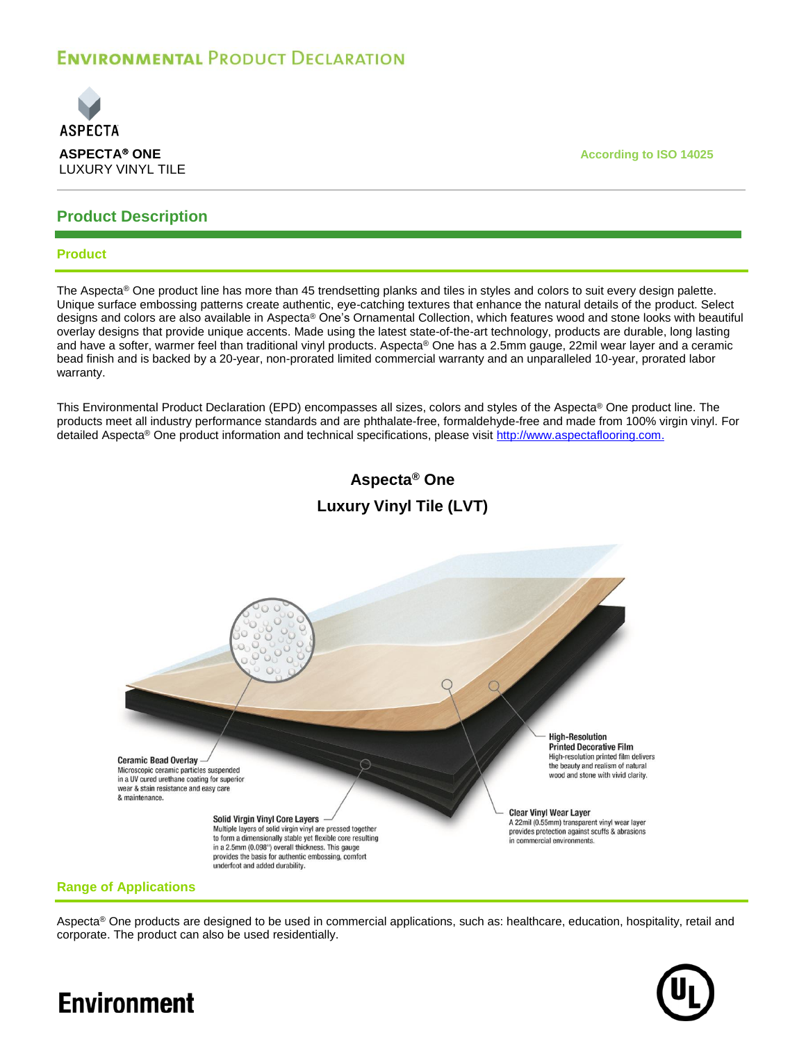

## **Product Description**

### **Product**

The Aspecta<sup>®</sup> One product line has more than 45 trendsetting planks and tiles in styles and colors to suit every design palette. Unique surface embossing patterns create authentic, eye-catching textures that enhance the natural details of the product. Select designs and colors are also available in Aspecta® One's Ornamental Collection, which features wood and stone looks with beautiful overlay designs that provide unique accents. Made using the latest state-of-the-art technology, products are durable, long lasting and have a softer, warmer feel than traditional vinyl products. Aspecta® One has a 2.5mm gauge, 22mil wear layer and a ceramic bead finish and is backed by a 20-year, non-prorated limited commercial warranty and an unparalleled 10-year, prorated labor warranty.

This Environmental Product Declaration (EPD) encompasses all sizes, colors and styles of the Aspecta® One product line. The products meet all industry performance standards and are phthalate-free, formaldehyde-free and made from 100% virgin vinyl. For detailed Aspecta® One product information and technical specifications, please visit [http://www.aspectaflooring.com.](http://www.aspectaflooring.com/)

## **Aspecta® One Luxury Vinyl Tile (LVT)**



## **Range of Applications**

Aspecta® One products are designed to be used in commercial applications, such as: healthcare, education, hospitality, retail and corporate. The product can also be used residentially.

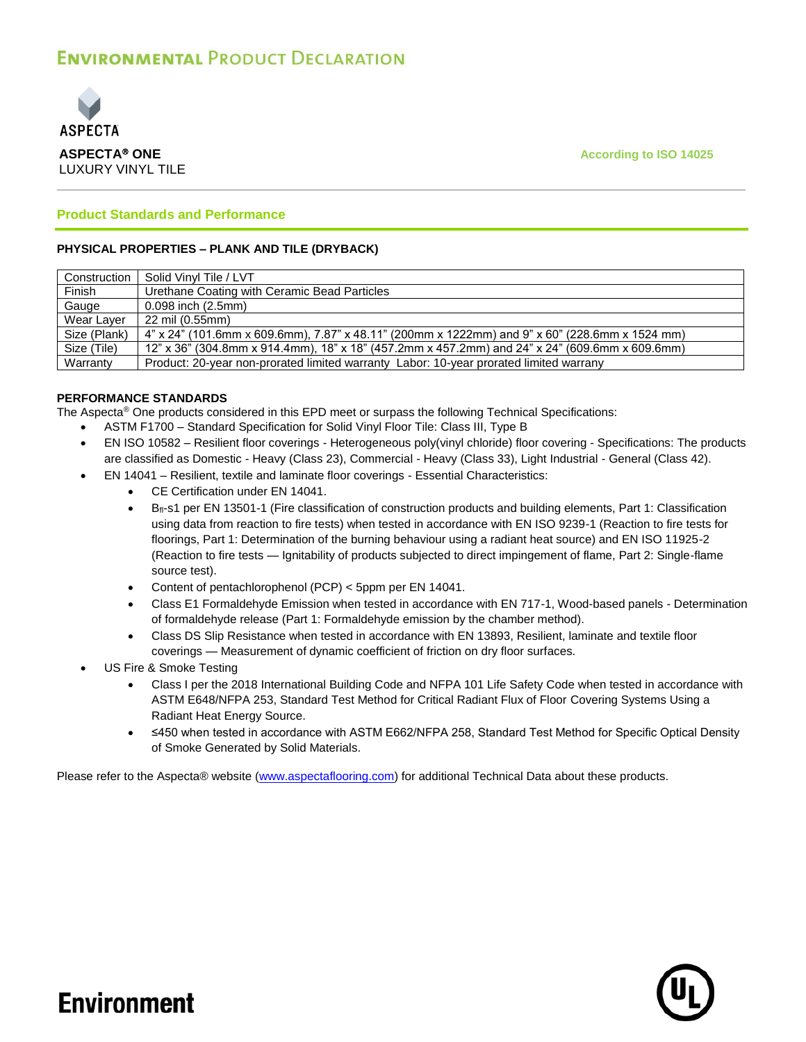

**ASPECTA® ONE According to ISO 14025** 

## **Product Standards and Performance**

### **PHYSICAL PROPERTIES – PLANK AND TILE (DRYBACK)**

| Construction | Solid Vinyl Tile / LVT                                                                         |
|--------------|------------------------------------------------------------------------------------------------|
| Finish       | Urethane Coating with Ceramic Bead Particles                                                   |
| Gauge        | 0.098 inch (2.5mm)                                                                             |
| Wear Laver   | 22 mil (0.55mm)                                                                                |
| Size (Plank) | 4" x 24" (101.6mm x 609.6mm), 7.87" x 48.11" (200mm x 1222mm) and 9" x 60" (228.6mm x 1524 mm) |
| Size (Tile)  | 12" x 36" (304.8mm x 914.4mm), 18" x 18" (457.2mm x 457.2mm) and 24" x 24" (609.6mm x 609.6mm) |
| Warranty     | Product: 20-year non-prorated limited warranty Labor: 10-year prorated limited warrany         |

## **PERFORMANCE STANDARDS**

The Aspecta® One products considered in this EPD meet or surpass the following Technical Specifications:

- ASTM F1700 Standard Specification for Solid Vinyl Floor Tile: Class III, Type B
- EN ISO 10582 Resilient floor coverings Heterogeneous poly(vinyl chloride) floor covering Specifications: The products are classified as Domestic - Heavy (Class 23), Commercial - Heavy (Class 33), Light Industrial - General (Class 42).
- EN 14041 Resilient, textile and laminate floor coverings Essential Characteristics:
	- CE Certification under EN 14041.
	- B<sub>fl</sub>-s1 per EN 13501-1 (Fire classification of construction products and building elements, Part 1: Classification using data from reaction to fire tests) when tested in accordance with EN ISO 9239-1 (Reaction to fire tests for floorings, Part 1: Determination of the burning behaviour using a radiant heat source) and EN ISO 11925-2 (Reaction to fire tests — Ignitability of products subjected to direct impingement of flame, Part 2: Single-flame source test).
	- Content of pentachlorophenol (PCP) < 5ppm per EN 14041.
	- Class E1 Formaldehyde Emission when tested in accordance with EN 717-1, Wood-based panels Determination of formaldehyde release (Part 1: Formaldehyde emission by the chamber method).
	- Class DS Slip Resistance when tested in accordance with EN 13893, Resilient, laminate and textile floor coverings — Measurement of dynamic coefficient of friction on dry floor surfaces.
- US Fire & Smoke Testing
	- Class I per the 2018 International Building Code and NFPA 101 Life Safety Code when tested in accordance with ASTM E648/NFPA 253, Standard Test Method for Critical Radiant Flux of Floor Covering Systems Using a Radiant Heat Energy Source.
	- ≤450 when tested in accordance with ASTM E662/NFPA 258, Standard Test Method for Specific Optical Density of Smoke Generated by Solid Materials.

Please refer to the Aspecta® website [\(www.aspectaflooring.com\)](http://www.aspectaflooring.com/) for additional Technical Data about these products.

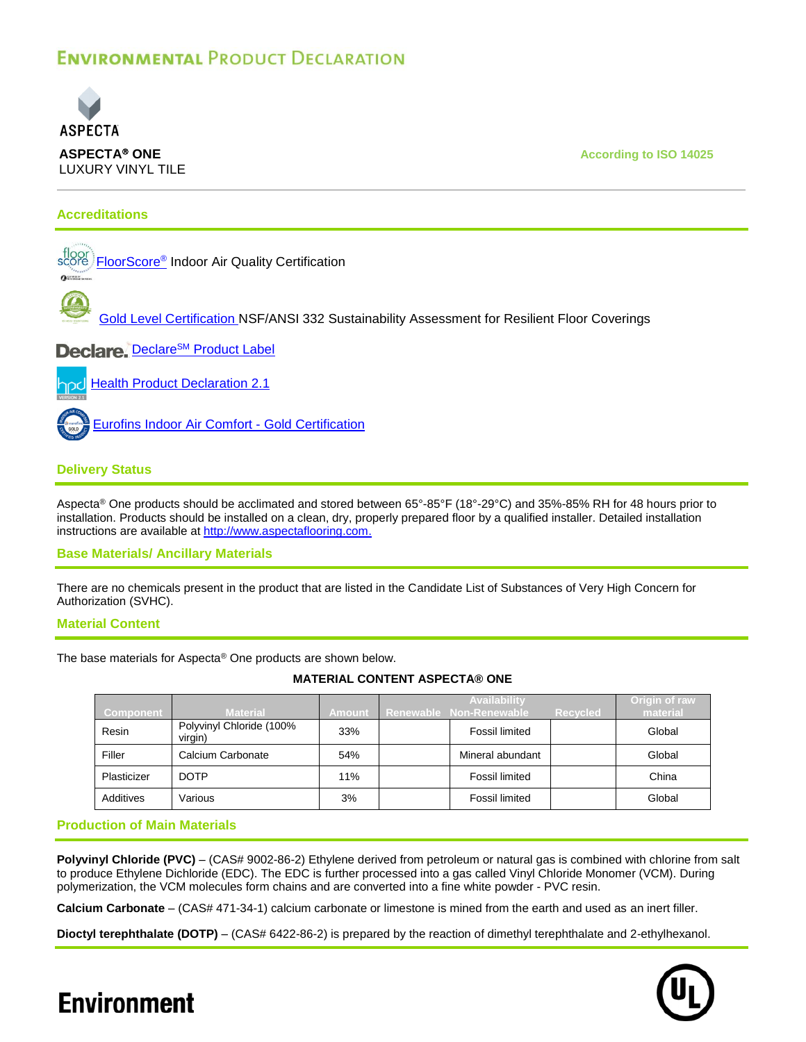

## **Accreditations**

[FloorScore](http://www.aspectaflooring.com/images/uploads/product-documents/AspectaOne_FloorScore_Certificate.pdf)® Indoor Air Quality Certification



[Gold Level Certification](http://www.aspectaflooring.com/images/uploads/product-documents/AspectaOne_NSF-ANSI-332_Gold_Certificate.pdf) NSF/ANSI 332 Sustainability Assessment for Resilient Floor Coverings

Declare. Declare<sup>SM</sup> [Product Label](http://www.aspectaflooring.com/images/uploads/product-documents/AspectaOne_DeclareLabel.jpg)

**[Health Product Declaration 2.1](http://www.aspectaflooring.com/images/uploads/product-documents/AspectaOne_HealthProductDeclaration_HPD.pdf)** 

[Eurofins Indoor Air Comfort -](https://www.eurofins.com/consumer-product-testing/information/ecolabels-quality-labels/indoor-air-comfort-eurofins-certified-products/) Gold Certification

## **Delivery Status**

Aspecta® One products should be acclimated and stored between 65°-85°F (18°-29°C) and 35%-85% RH for 48 hours prior to installation. Products should be installed on a clean, dry, properly prepared floor by a qualified installer. Detailed installation instructions are available at [http://www.aspectaflooring.com.](http://www.aspectaflooring.com/)

### **Base Materials/ Ancillary Materials**

There are no chemicals present in the product that are listed in the Candidate List of Substances of Very High Concern for Authorization (SVHC).

### **Material Content**

The base materials for Aspecta® One products are shown below.

**MATERIAL CONTENT ASPECTA® ONE**

| Component   | <b>Material</b>                     | <b>Amount</b> | <b>Availability</b><br>Renewable Non-Renewable | <b>Recycled</b> | Origin of raw<br>material |
|-------------|-------------------------------------|---------------|------------------------------------------------|-----------------|---------------------------|
| Resin       | Polyvinyl Chloride (100%<br>virgin) | 33%           | Fossil limited                                 |                 | Global                    |
| Filler      | Calcium Carbonate                   | 54%           | Mineral abundant                               |                 | Global                    |
| Plasticizer | <b>DOTP</b>                         | 11%           | Fossil limited                                 |                 | China                     |
| Additives   | Various                             | 3%            | Fossil limited                                 |                 | Global                    |

## **Production of Main Materials**

**Polyvinyl Chloride (PVC)** – (CAS# 9002-86-2) Ethylene derived from petroleum or natural gas is combined with chlorine from salt to produce Ethylene Dichloride (EDC). The EDC is further processed into a gas called Vinyl Chloride Monomer (VCM). During polymerization, the VCM molecules form chains and are converted into a fine white powder - PVC resin.

**Calcium Carbonate** – (CAS# 471-34-1) calcium carbonate or limestone is mined from the earth and used as an inert filler.

**Dioctyl terephthalate (DOTP)** – (CAS# 6422-86-2) is prepared by the reaction of dimethyl terephthalate and 2-ethylhexanol.

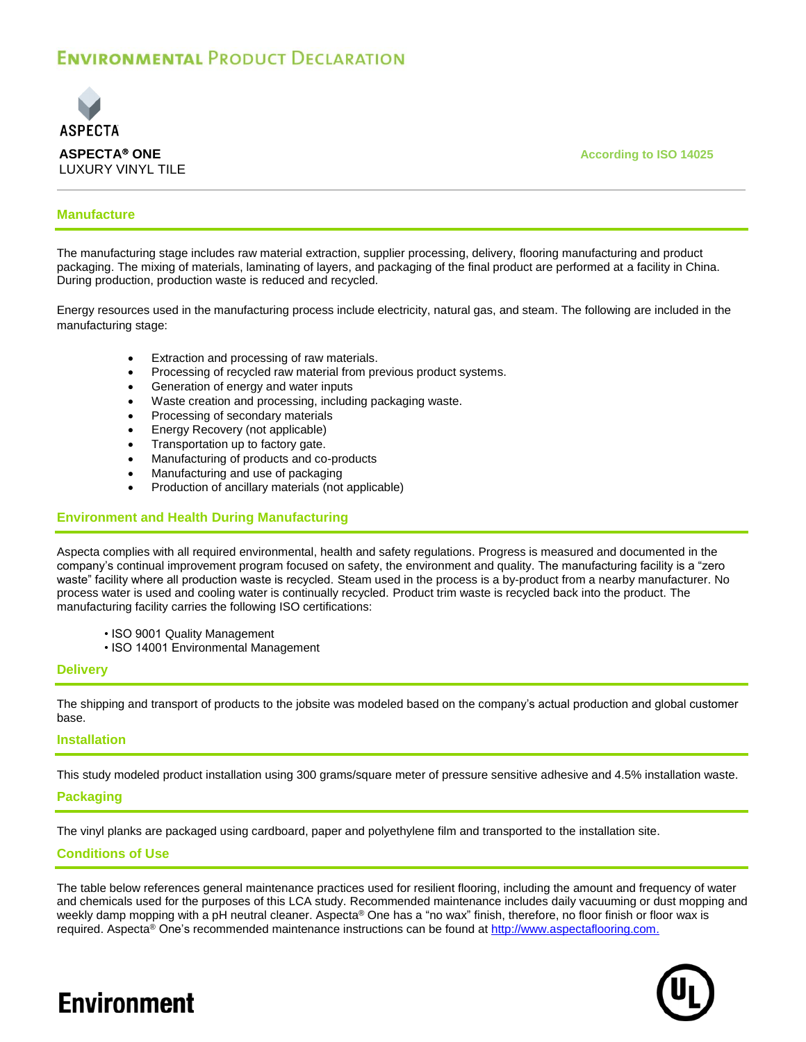

**ASPECTA® ONE According to ISO 14025** 

### **Manufacture**

The manufacturing stage includes raw material extraction, supplier processing, delivery, flooring manufacturing and product packaging. The mixing of materials, laminating of layers, and packaging of the final product are performed at a facility in China. During production, production waste is reduced and recycled.

Energy resources used in the manufacturing process include electricity, natural gas, and steam. The following are included in the manufacturing stage:

- Extraction and processing of raw materials.
- Processing of recycled raw material from previous product systems.
- Generation of energy and water inputs
- Waste creation and processing, including packaging waste.
- Processing of secondary materials
- Energy Recovery (not applicable)
- Transportation up to factory gate.
- Manufacturing of products and co-products
- Manufacturing and use of packaging
	- Production of ancillary materials (not applicable)

## **Environment and Health During Manufacturing**

Aspecta complies with all required environmental, health and safety regulations. Progress is measured and documented in the company's continual improvement program focused on safety, the environment and quality. The manufacturing facility is a "zero waste" facility where all production waste is recycled. Steam used in the process is a by-product from a nearby manufacturer. No process water is used and cooling water is continually recycled. Product trim waste is recycled back into the product. The manufacturing facility carries the following ISO certifications:

- ISO 9001 Quality Management
- ISO 14001 Environmental Management

### **Delivery**

The shipping and transport of products to the jobsite was modeled based on the company's actual production and global customer base.

### **Installation**

This study modeled product installation using 300 grams/square meter of pressure sensitive adhesive and 4.5% installation waste.

## **Packaging**

The vinyl planks are packaged using cardboard, paper and polyethylene film and transported to the installation site.

### **Conditions of Use**

The table below references general maintenance practices used for resilient flooring, including the amount and frequency of water and chemicals used for the purposes of this LCA study. Recommended maintenance includes daily vacuuming or dust mopping and weekly damp mopping with a pH neutral cleaner. Aspecta® One has a "no wax" finish, therefore, no floor finish or floor wax is required. Aspecta<sup>®</sup> One's recommended maintenance instructions can be found at [http://www.aspectaflooring.com.](http://www.aspectaflooring.com/)

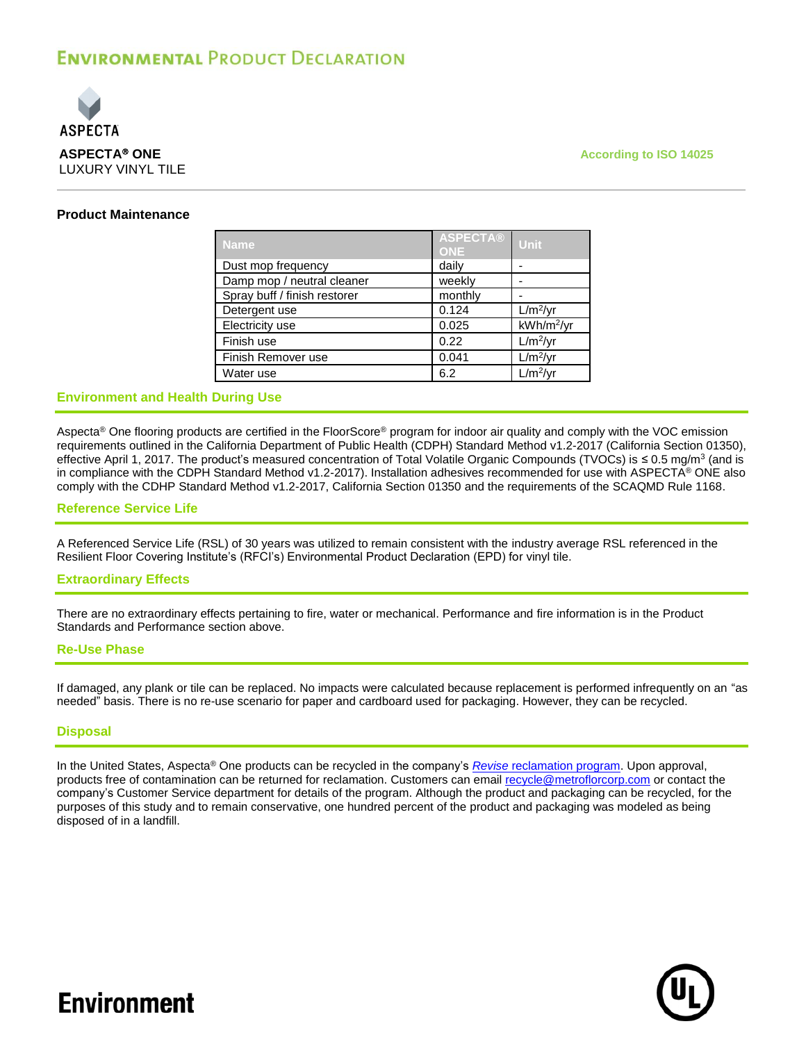

### **Product Maintenance**

| <b>Name</b>                  | <b>ASPECTA®</b><br><b>ONE</b> | <b>Unit</b>            |
|------------------------------|-------------------------------|------------------------|
| Dust mop frequency           | daily                         |                        |
| Damp mop / neutral cleaner   | weekly                        |                        |
| Spray buff / finish restorer | monthly                       |                        |
| Detergent use                | 0.124                         | $L/m^2/yr$             |
| Electricity use              | 0.025                         | kWh/m <sup>2</sup> /yr |
| Finish use                   | 0.22                          | $L/m^2/yr$             |
| Finish Remover use           | 0.041                         | $L/m^2/yr$             |
| Water use                    | 6.2                           | $L/m^2/yr$             |

## **Environment and Health During Use**

Aspecta® One flooring products are certified in the FloorScore® program for indoor air quality and comply with the VOC emission requirements outlined in the California Department of Public Health (CDPH) Standard Method v1.2-2017 (California Section 01350), effective April 1, 2017. The product's measured concentration of Total Volatile Organic Compounds (TVOCs) is ≤ 0.5 mg/m<sup>3</sup> (and is in compliance with the CDPH Standard Method v1.2-2017). Installation adhesives recommended for use with ASPECTA® ONE also comply with the CDHP Standard Method v1.2-2017, California Section 01350 and the requirements of the SCAQMD Rule 1168.

#### **Reference Service Life**

A Referenced Service Life (RSL) of 30 years was utilized to remain consistent with the industry average RSL referenced in the Resilient Floor Covering Institute's (RFCI's) Environmental Product Declaration (EPD) for vinyl tile.

#### **Extraordinary Effects**

There are no extraordinary effects pertaining to fire, water or mechanical. Performance and fire information is in the Product Standards and Performance section above.

### **Re-Use Phase**

If damaged, any plank or tile can be replaced. No impacts were calculated because replacement is performed infrequently on an "as needed" basis. There is no re-use scenario for paper and cardboard used for packaging. However, they can be recycled.

### **Disposal**

In the United States, Aspecta® One products can be recycled in the company's *Revise* [reclamation program.](http://www.aspectaflooring.com/sustainability/revise-floor-reclamation-program/) Upon approval, products free of contamination can be returned for reclamation. Customers can email [recycle@metroflorcorp.com](mailto:recycle@metroflorcorp.com) or contact the company's Customer Service department for details of the program. Although the product and packaging can be recycled, for the purposes of this study and to remain conservative, one hundred percent of the product and packaging was modeled as being disposed of in a landfill.

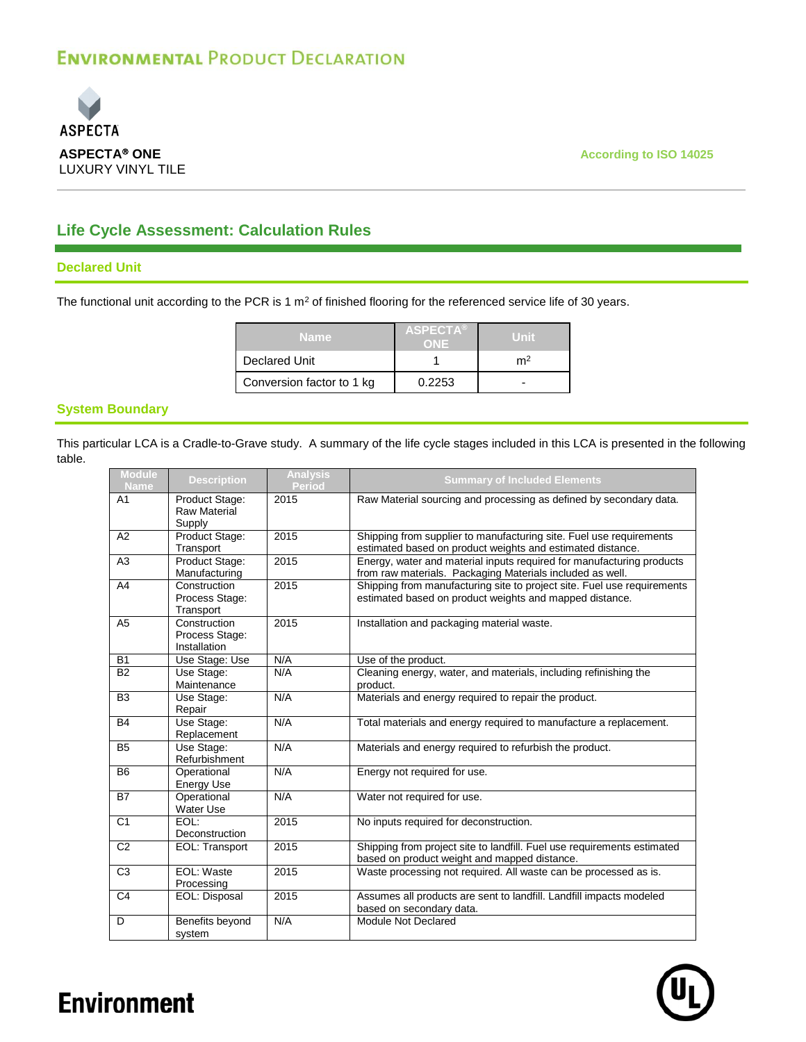

## **Life Cycle Assessment: Calculation Rules**

### **Declared Unit**

The functional unit according to the PCR is 1  $m<sup>2</sup>$  of finished flooring for the referenced service life of 30 years.

| Name                      | <b>ASPECTA®</b> |    |
|---------------------------|-----------------|----|
| Declared Unit             |                 | m∸ |
| Conversion factor to 1 kg | 0.2253          | -  |

## **System Boundary**

This particular LCA is a Cradle-to-Grave study. A summary of the life cycle stages included in this LCA is presented in the following table.

| <b>Module</b><br><b>Name</b> | <b>Description</b>                              | <b>Analysis</b><br><b>Period</b> | <b>Summary of Included Elements</b>                                                                                                |
|------------------------------|-------------------------------------------------|----------------------------------|------------------------------------------------------------------------------------------------------------------------------------|
| A <sub>1</sub>               | Product Stage:<br><b>Raw Material</b><br>Supply | 2015                             | Raw Material sourcing and processing as defined by secondary data.                                                                 |
| A2                           | Product Stage:<br>Transport                     | 2015                             | Shipping from supplier to manufacturing site. Fuel use requirements<br>estimated based on product weights and estimated distance.  |
| A3                           | Product Stage:<br>Manufacturing                 | 2015                             | Energy, water and material inputs required for manufacturing products<br>from raw materials. Packaging Materials included as well. |
| A4                           | Construction<br>Process Stage:<br>Transport     | 2015                             | Shipping from manufacturing site to project site. Fuel use requirements<br>estimated based on product weights and mapped distance. |
| A <sub>5</sub>               | Construction<br>Process Stage:<br>Installation  | 2015                             | Installation and packaging material waste.                                                                                         |
| <b>B1</b>                    | Use Stage: Use                                  | N/A                              | Use of the product.                                                                                                                |
| <b>B2</b>                    | Use Stage:<br>Maintenance                       | N/A                              | Cleaning energy, water, and materials, including refinishing the<br>product.                                                       |
| B <sub>3</sub>               | Use Stage:<br>Repair                            | N/A                              | Materials and energy required to repair the product.                                                                               |
| <b>B4</b>                    | Use Stage:<br>Replacement                       | N/A                              | Total materials and energy required to manufacture a replacement.                                                                  |
| <b>B5</b>                    | Use Stage:<br>Refurbishment                     | N/A                              | Materials and energy required to refurbish the product.                                                                            |
| B <sub>6</sub>               | Operational<br><b>Energy Use</b>                | N/A                              | Energy not required for use.                                                                                                       |
| <b>B7</b>                    | Operational<br>Water Use                        | N/A                              | Water not required for use.                                                                                                        |
| C <sub>1</sub>               | EOL:<br>Deconstruction                          | 2015                             | No inputs required for deconstruction.                                                                                             |
| C <sub>2</sub>               | EOL: Transport                                  | 2015                             | Shipping from project site to landfill. Fuel use requirements estimated<br>based on product weight and mapped distance.            |
| C <sub>3</sub>               | EOL: Waste<br>Processing                        | 2015                             | Waste processing not required. All waste can be processed as is.                                                                   |
| C <sub>4</sub>               | EOL: Disposal                                   | 2015                             | Assumes all products are sent to landfill. Landfill impacts modeled<br>based on secondary data.                                    |
| D                            | Benefits beyond<br>system                       | N/A                              | Module Not Declared                                                                                                                |

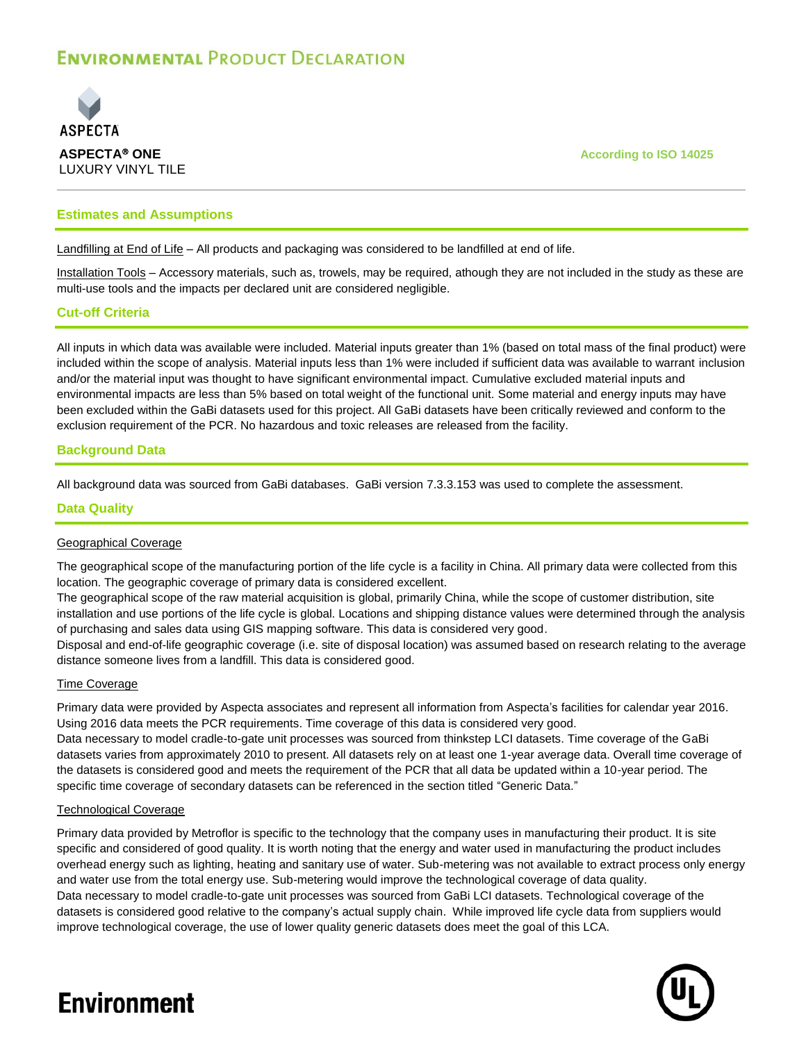

### **Estimates and Assumptions**

Landfilling at End of Life – All products and packaging was considered to be landfilled at end of life.

Installation Tools – Accessory materials, such as, trowels, may be required, athough they are not included in the study as these are multi-use tools and the impacts per declared unit are considered negligible.

### **Cut-off Criteria**

All inputs in which data was available were included. Material inputs greater than 1% (based on total mass of the final product) were included within the scope of analysis. Material inputs less than 1% were included if sufficient data was available to warrant inclusion and/or the material input was thought to have significant environmental impact. Cumulative excluded material inputs and environmental impacts are less than 5% based on total weight of the functional unit. Some material and energy inputs may have been excluded within the GaBi datasets used for this project. All GaBi datasets have been critically reviewed and conform to the exclusion requirement of the PCR. No hazardous and toxic releases are released from the facility.

### **Background Data**

All background data was sourced from GaBi databases. GaBi version 7.3.3.153 was used to complete the assessment.

#### **Data Quality**

#### Geographical Coverage

The geographical scope of the manufacturing portion of the life cycle is a facility in China. All primary data were collected from this location. The geographic coverage of primary data is considered excellent.

The geographical scope of the raw material acquisition is global, primarily China, while the scope of customer distribution, site installation and use portions of the life cycle is global. Locations and shipping distance values were determined through the analysis of purchasing and sales data using GIS mapping software. This data is considered very good.

Disposal and end-of-life geographic coverage (i.e. site of disposal location) was assumed based on research relating to the average distance someone lives from a landfill. This data is considered good.

#### Time Coverage

Primary data were provided by Aspecta associates and represent all information from Aspecta's facilities for calendar year 2016. Using 2016 data meets the PCR requirements. Time coverage of this data is considered very good.

Data necessary to model cradle-to-gate unit processes was sourced from thinkstep LCI datasets. Time coverage of the GaBi datasets varies from approximately 2010 to present. All datasets rely on at least one 1-year average data. Overall time coverage of the datasets is considered good and meets the requirement of the PCR that all data be updated within a 10-year period. The specific time coverage of secondary datasets can be referenced in the section titled "Generic Data."

#### Technological Coverage

Primary data provided by Metroflor is specific to the technology that the company uses in manufacturing their product. It is site specific and considered of good quality. It is worth noting that the energy and water used in manufacturing the product includes overhead energy such as lighting, heating and sanitary use of water. Sub-metering was not available to extract process only energy and water use from the total energy use. Sub-metering would improve the technological coverage of data quality. Data necessary to model cradle-to-gate unit processes was sourced from GaBi LCI datasets. Technological coverage of the datasets is considered good relative to the company's actual supply chain. While improved life cycle data from suppliers would improve technological coverage, the use of lower quality generic datasets does meet the goal of this LCA.

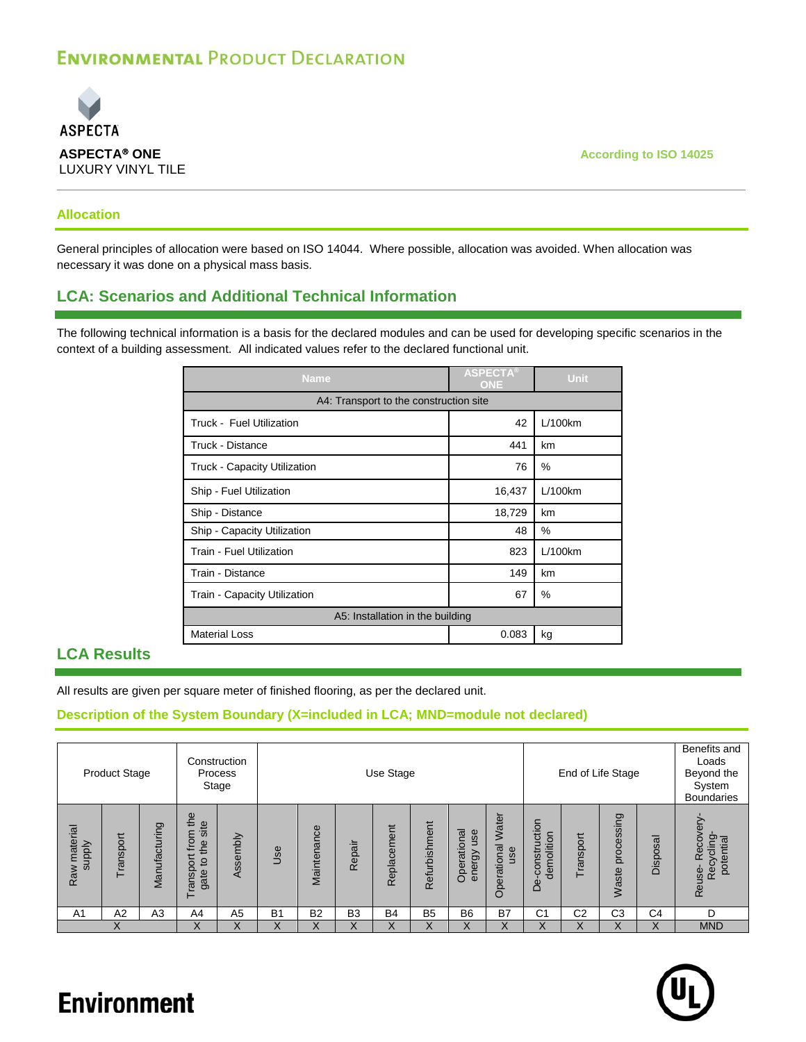

## **Allocation**

General principles of allocation were based on ISO 14044. Where possible, allocation was avoided. When allocation was necessary it was done on a physical mass basis.

## **LCA: Scenarios and Additional Technical Information**

The following technical information is a basis for the declared modules and can be used for developing specific scenarios in the context of a building assessment. All indicated values refer to the declared functional unit.

| <b>Name</b>                            | <b>ASPECTA®</b><br><b>ONE</b> | Unit    |
|----------------------------------------|-------------------------------|---------|
| A4: Transport to the construction site |                               |         |
| Truck - Fuel Utilization               | 42                            | L/100km |
| Truck - Distance                       | 441                           | km      |
| <b>Truck - Capacity Utilization</b>    | 76                            | $\%$    |
| Ship - Fuel Utilization                | 16,437                        | L/100km |
| Ship - Distance                        | 18,729                        | km      |
| Ship - Capacity Utilization            | 48                            | %       |
| Train - Fuel Utilization               | 823                           | L/100km |
| Train - Distance                       | 149                           | km      |
| Train - Capacity Utilization           | 67                            | %       |
| A5: Installation in the building       |                               |         |
| <b>Material Loss</b>                   | 0.083                         | kg      |

## **LCA Results**

All results are given per square meter of finished flooring, as per the declared unit.

## **Description of the System Boundary (X=included in LCA; MND=module not declared)**

|                           | <b>Product Stage</b> |                | Construction                                                                          | Process<br>Stage | Use Stage<br>End of Life Stage |                |                |                |                |                              | Benefits and<br>Loads<br>Beyond the<br>System<br><b>Boundaries</b> |                                 |                |                     |                |                                                                 |
|---------------------------|----------------------|----------------|---------------------------------------------------------------------------------------|------------------|--------------------------------|----------------|----------------|----------------|----------------|------------------------------|--------------------------------------------------------------------|---------------------------------|----------------|---------------------|----------------|-----------------------------------------------------------------|
| material<br>supply<br>Raw | ransport             | Manufacturing  | the<br>site<br>ε<br>fro<br>the<br>$\overline{a}$<br>$\overline{O}$<br>Transpr<br>gate | Assembly         | Use                            | Maintenance    | Repair         | Replacement    | Refurbishment  | Operational<br>use<br>energy | Water<br>Operational<br>use                                        | construction<br>demolition<br>å | Transport      | processing<br>Waste | Disposal       | $\omega$<br>ecov<br>Recycling-<br>potential<br>œ<br>use-<br>Rei |
| A <sub>1</sub>            | A2                   | A <sub>3</sub> | A4                                                                                    | A <sub>5</sub>   | B <sub>1</sub>                 | B <sub>2</sub> | B <sub>3</sub> | B <sub>4</sub> | B <sub>5</sub> | B <sub>6</sub>               | B7                                                                 | C <sub>1</sub>                  | C <sub>2</sub> | C <sub>3</sub>      | C <sub>4</sub> | D                                                               |
|                           |                      |                | X                                                                                     |                  | ∧                              | Χ              | X              | Х              | X              | X                            | X                                                                  | Χ                               | Χ              | Χ                   |                | <b>MND</b>                                                      |

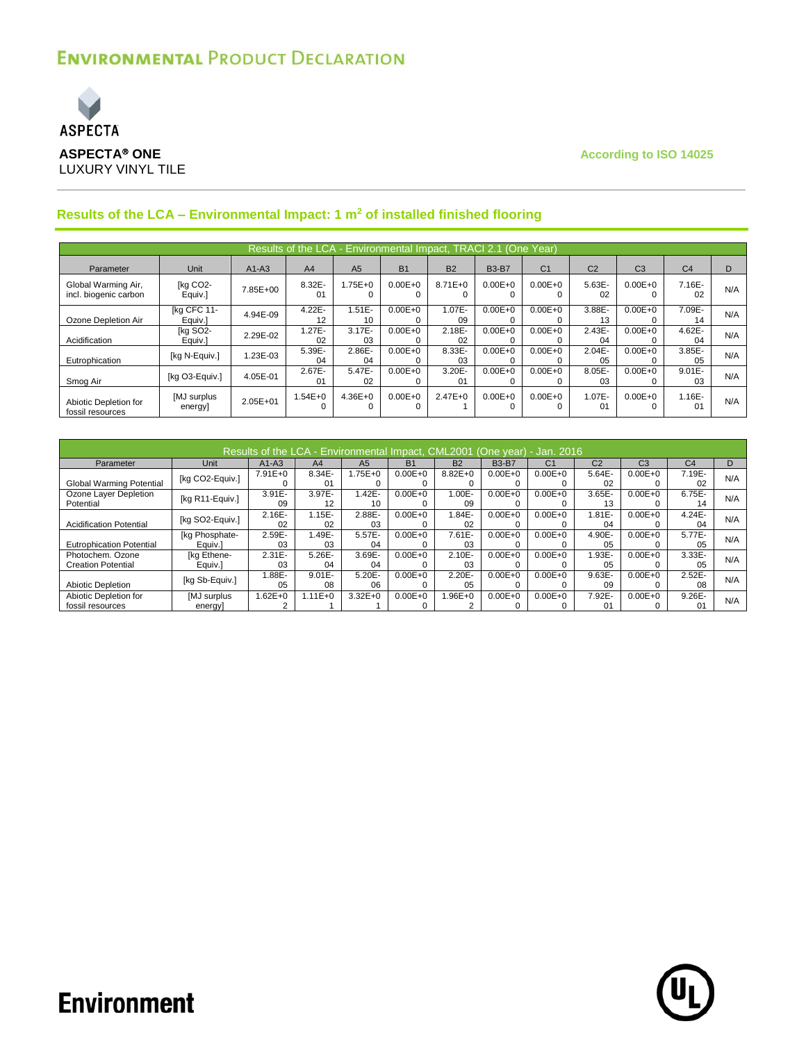

|                                              | Results of the LCA - Environmental Impact, TRACI 2.1 (One Year) |              |                         |                 |                  |                          |              |                |                             |                         |                 |     |  |  |  |
|----------------------------------------------|-----------------------------------------------------------------|--------------|-------------------------|-----------------|------------------|--------------------------|--------------|----------------|-----------------------------|-------------------------|-----------------|-----|--|--|--|
| Parameter                                    | Unit                                                            | $A1-A3$      | A <sub>4</sub>          | A <sub>5</sub>  | B <sub>1</sub>   | <b>B2</b>                | <b>B3-B7</b> | C <sub>1</sub> | C <sub>2</sub>              | C <sub>3</sub>          | C <sub>4</sub>  |     |  |  |  |
| Global Warming Air,<br>incl. biogenic carbon | [kg CO2-<br>Equiv.]                                             | 7.85E+00     | 8.32E-<br>01            | $1.75E + 0$     | $0.00E + 0$      | $8.71E + 0$<br>0         | $0.00E + 0$  | $0.00E + 0$    | $5.63E -$<br>02             | $0.00E + 0$             | 7.16E-<br>02    | N/A |  |  |  |
| Ozone Depletion Air                          | [kg CFC 11-<br>Equiv.]                                          | 4.94E-09     | 4.22E-<br>12            | $1.51E -$<br>10 | $0.00E + 0$      | 1.07E-<br>09             | $0.00E + 0$  | $0.00E + 0$    | 3.88E-<br>13                | $0.00E + 0$             | 7.09E-<br>14    | N/A |  |  |  |
| Acidification                                | [kg SO2-<br>Equiv.]                                             | 2.29E-02     | $1.27E -$<br>02         | $3.17E -$<br>03 | $0.00E + 0$      | 2.18E-<br>02             | $0.00E + 0$  | $0.00E + 0$    | $2.43E -$<br>04             | $0.00E + 0$             | $4.62E -$<br>04 | N/A |  |  |  |
| Eutrophication                               | [kg N-Equiv.]                                                   | .23E-03      | 5.39E-<br>04            | 2.86E-<br>04    | $0.00E + 0$      | 8.33E-<br>0 <sub>3</sub> | $0.00E + 0$  | $0.00E + 0$    | $2.04E -$<br>0 <sub>5</sub> | $0.00E + 0$             | $3.85E -$<br>05 | N/A |  |  |  |
| Smog Air                                     | [kg O3-Equiv.]                                                  | 4.05E-01     | 2.67E-<br>01            | 5.47E-<br>02    | $0.00E + 0$      | 3.20E-<br>01             | $0.00E + 0$  | $0.00E + 0$    | 8.05E-<br>03                | $0.00E + 0$<br>$\Omega$ | $9.01E -$<br>03 | N/A |  |  |  |
| Abiotic Depletion for<br>fossil resources    | [MJ surplus<br>energy                                           | $2.05E + 01$ | $1.54E + 0$<br>$\Omega$ | $4.36E + 0$     | $0.00E + 0$<br>0 | $2.47E + 0$              | $0.00E + 0$  | $0.00E + 0$    | 1.07E-<br>01                | $0.00E + 0$<br>$\Omega$ | 1.16E-<br>01    | N/A |  |  |  |

## **Results of the LCA – Environmental Impact: 1 m<sup>2</sup> of installed finished flooring**

| Results of the LCA - Environmental Impact, CML2001 (One year) - Jan. 2016 |                               |                 |                 |                |                |                          |                  |                |                          |                |                 |     |  |  |
|---------------------------------------------------------------------------|-------------------------------|-----------------|-----------------|----------------|----------------|--------------------------|------------------|----------------|--------------------------|----------------|-----------------|-----|--|--|
| Parameter                                                                 | Unit                          | $A1-A3$         | A4              | A <sub>5</sub> | B <sub>1</sub> | <b>B2</b>                | <b>B3-B7</b>     | C <sub>1</sub> | C <sub>2</sub>           | C <sub>3</sub> | C <sub>4</sub>  | D   |  |  |
| Global Warming Potential                                                  | [kg CO2-Equiv.]               | $7.91E + 0$     | 8.34E-<br>01    | $.75E + 0$     | $0.00E + 0$    | $8.82E + 0$              | $0.00E + 0$      | $0.00E + 0$    | 5.64E-<br>02             | $0.00E + 0$    | 7.19E-<br>02    | N/A |  |  |
| Ozone Layer Depletion<br>Potential                                        | [kg R11-Equiv.]               | $3.91E -$<br>09 | 3.97E-<br>12    | 1.42E-<br>10   | $0.00E + 0$    | 1.00E-<br>09             | $0.00E + 0$      | $0.00E + 0$    | 3.65E-<br>13             | $0.00E + 0$    | 6.75E-<br>14    | N/A |  |  |
| <b>Acidification Potential</b>                                            | [kg SO2-Equiv.]               | $2.16E -$<br>02 | $1.15E -$<br>02 | 2.88E-<br>03   | $0.00E + 0$    | 1.84E-<br>02             | $0.00E + 0$      | $0.00E + 0$    | $.81E-$<br>04            | $0.00E + 0$    | 4.24E-<br>04    | N/A |  |  |
| <b>Eutrophication Potential</b>                                           | [kg Phosphate-<br>Eauiv.1     | 2.59E-<br>03    | 1.49E-<br>03    | 5.57E-<br>04   | $0.00E + 0$    | 7.61E-<br>0 <sub>3</sub> | $0.00E + 0$      | $0.00E + 0$    | 4.90E-<br>0 <sub>5</sub> | $0.00E + 0$    | 5.77E-<br>05    | N/A |  |  |
| Photochem. Ozone<br><b>Creation Potential</b>                             | <b>Ika Ethene-</b><br>Equiv.] | $2.31E -$<br>03 | $5.26E -$<br>04 | 3.69E-<br>04   | $0.00E + 0$    | $2.10E -$<br>03          | $0.00E + 0$      | $0.00E + 0$    | .93E-<br>0 <sub>5</sub>  | $0.00E + 0$    | $3.33E -$<br>05 | N/A |  |  |
| Abiotic Depletion                                                         | [kg Sb-Equiv.]                | $.88E-$<br>05   | $9.01E -$<br>08 | 5.20E-<br>06   | $0.00E + 0$    | 2.20E-<br>05             | $0.00E + 0$      | $0.00E + 0$    | 9.63E-<br>09             | $0.00E + 0$    | 2.52E-<br>08    | N/A |  |  |
| Abiotic Depletion for<br>fossil resources                                 | [MJ surplus<br>energy         | $.62E + 0$      | $1.11E + 0$     | $3.32E + 0$    | $0.00E + 0$    | 1.96E+0                  | $0.00E + 0$<br>0 | $0.00E + 0$    | 7.92E-<br>01             | $0.00E + 0$    | $9.26E -$<br>01 | N/A |  |  |

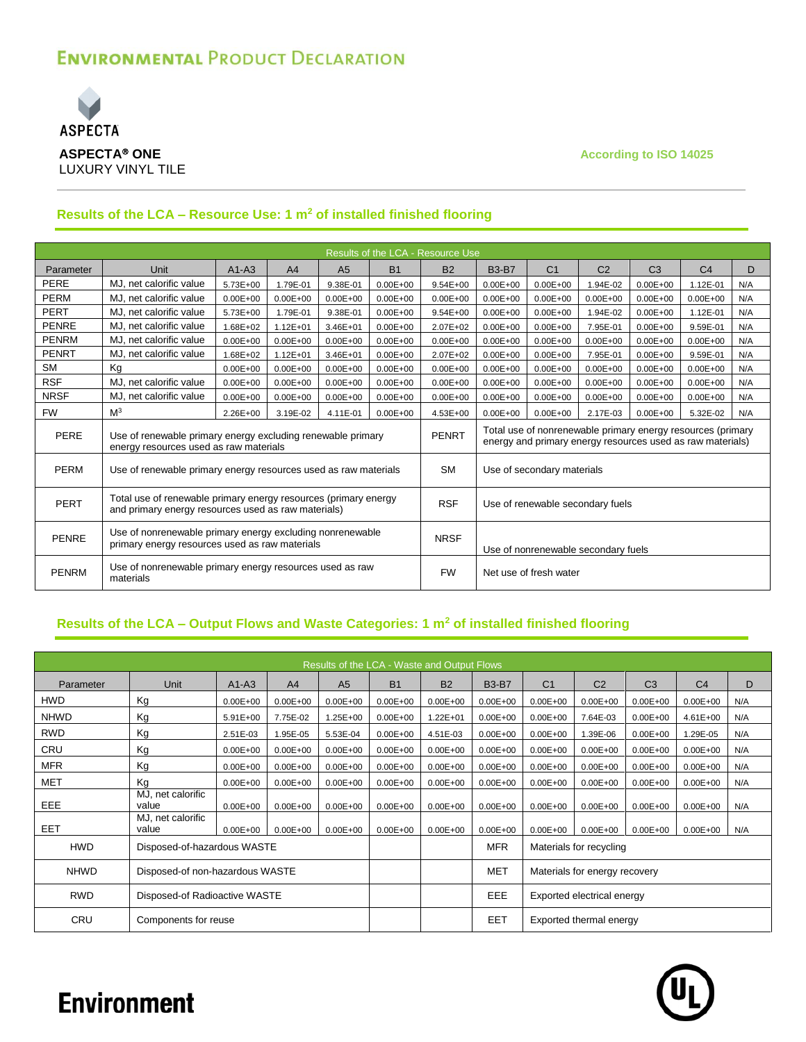

## **Results of the LCA – Resource Use: 1 m<sup>2</sup> of installed finished flooring**

|              |                                                                                                                        |              |                |                |              | Results of the LCA - Resource Use |                                                                                                                           |                                     |                |                |                |     |
|--------------|------------------------------------------------------------------------------------------------------------------------|--------------|----------------|----------------|--------------|-----------------------------------|---------------------------------------------------------------------------------------------------------------------------|-------------------------------------|----------------|----------------|----------------|-----|
| Parameter    | Unit                                                                                                                   | $A1-A3$      | A <sub>4</sub> | A <sub>5</sub> | <b>B1</b>    | <b>B2</b>                         | <b>B3-B7</b>                                                                                                              | C <sub>1</sub>                      | C <sub>2</sub> | C <sub>3</sub> | C <sub>4</sub> | D   |
| PERE         | MJ, net calorific value                                                                                                | 5.73E+00     | 1.79E-01       | 9.38E-01       | $0.00E + 00$ | $9.54E + 00$                      | $0.00E + 00$                                                                                                              | $0.00E + 00$                        | $.94E-02$      | $0.00E + 00$   | 1.12E-01       | N/A |
| <b>PERM</b>  | MJ, net calorific value                                                                                                | $0.00E + 00$ | $0.00E + 00$   | $0.00E + 00$   | $0.00E + 00$ | $0.00E + 00$                      | $0.00E + 00$                                                                                                              | $0.00E + 00$                        | N/A            |                |                |     |
| <b>PERT</b>  | MJ, net calorific value                                                                                                | $0.00E + 00$ | $9.54E + 00$   | $0.00E + 00$   | $0.00E + 00$ | 1.94E-02                          | $0.00E + 00$                                                                                                              | 1.12E-01                            | N/A            |                |                |     |
| <b>PENRE</b> | MJ, net calorific value                                                                                                | 1.68E+02     | $1.12E + 01$   | $3.46E + 01$   | $0.00E + 00$ | $2.07E + 02$                      | $0.00E + 00$                                                                                                              | $0.00E + 00$                        | 7.95E-01       | $0.00E + 00$   | 9.59E-01       | N/A |
| <b>PENRM</b> | MJ, net calorific value                                                                                                | $0.00E + 00$ | $0.00E + 00$   | $0.00E + 00$   | $0.00E + 00$ | $0.00E + 00$                      | $0.00E + 00$                                                                                                              | $0.00E + 00$                        | $0.00E + 00$   | $0.00E + 00$   | $0.00E + 00$   | N/A |
| <b>PENRT</b> | MJ, net calorific value                                                                                                | 1.68E+02     | $1.12E + 01$   | $3.46E + 01$   | $0.00E + 00$ | $2.07E + 02$                      | $0.00E + 00$                                                                                                              | $0.00E + 00$                        | 7.95E-01       | $0.00E + 00$   | 9.59E-01       | N/A |
| <b>SM</b>    | Kg                                                                                                                     | $0.00E + 00$ | $0.00E + 00$   | $0.00E + 00$   | $0.00E + 00$ | $0.00E + 00$                      | $0.00E + 00$                                                                                                              | $0.00E + 00$                        | $0.00E + 00$   | $0.00E + 00$   | $0.00E + 00$   | N/A |
| <b>RSF</b>   | MJ, net calorific value                                                                                                | $0.00E + 00$ | $0.00E + 00$   | $0.00E + 00$   | $0.00E + 00$ | $0.00E + 00$                      | $0.00E + 00$                                                                                                              | $0.00E + 00$                        | $0.00E + 00$   | $0.00E + 00$   | $0.00E + 00$   | N/A |
| <b>NRSF</b>  | MJ, net calorific value                                                                                                | $0.00E + 00$ | $0.00E + 00$   | $0.00E + 00$   | $0.00E + 00$ | $0.00E + 00$                      | $0.00E + 00$                                                                                                              | $0.00E + 00$                        | $0.00E + 00$   | $0.00E + 00$   | $0.00E + 00$   | N/A |
| <b>FW</b>    | M <sup>3</sup>                                                                                                         | 2.26E+00     | 3.19E-02       | 4.11E-01       | $0.00E + 00$ | 4.53E+00                          | $0.00E + 00$                                                                                                              | $0.00E + 00$                        | 2.17E-03       | $0.00E + 00$   | 5.32E-02       | N/A |
| PERE         | Use of renewable primary energy excluding renewable primary<br>energy resources used as raw materials                  |              |                |                |              | <b>PENRT</b>                      | Total use of nonrenewable primary energy resources (primary<br>energy and primary energy resources used as raw materials) |                                     |                |                |                |     |
| PERM         | Use of renewable primary energy resources used as raw materials                                                        |              |                |                |              | <b>SM</b>                         | Use of secondary materials                                                                                                |                                     |                |                |                |     |
| <b>PERT</b>  | Total use of renewable primary energy resources (primary energy<br>and primary energy resources used as raw materials) |              |                |                |              | <b>RSF</b>                        |                                                                                                                           | Use of renewable secondary fuels    |                |                |                |     |
| <b>PENRE</b> | Use of nonrenewable primary energy excluding nonrenewable<br>primary energy resources used as raw materials            |              |                |                |              | <b>NRSF</b>                       |                                                                                                                           | Use of nonrenewable secondary fuels |                |                |                |     |
| <b>PENRM</b> | Use of nonrenewable primary energy resources used as raw<br>materials                                                  |              |                |                |              | <b>FW</b>                         |                                                                                                                           | Net use of fresh water              |                |                |                |     |

## **Results of the LCA – Output Flows and Waste Categories: 1 m<sup>2</sup> of installed finished flooring**

|             | Results of the LCA - Waste and Output Flows |              |                |                |                            |              |              |                                                              |                               |                |                |     |  |  |  |
|-------------|---------------------------------------------|--------------|----------------|----------------|----------------------------|--------------|--------------|--------------------------------------------------------------|-------------------------------|----------------|----------------|-----|--|--|--|
| Parameter   | <b>Unit</b>                                 | $A1-A3$      | A <sub>4</sub> | A <sub>5</sub> | <b>B1</b>                  | <b>B2</b>    | <b>B3-B7</b> | C <sub>1</sub>                                               | C <sub>2</sub>                | C <sub>3</sub> | C <sub>4</sub> | D   |  |  |  |
| HWD         | Kg                                          | $0.00E + 00$ | $0.00E + 00$   | $0.00E + 00$   | $0.00E + 00$               | $0.00E + 00$ | $0.00E + 00$ | $0.00E + 00$                                                 | $0.00E + 00$                  | $0.00E + 00$   | $0.00E + 00$   | N/A |  |  |  |
| <b>NHWD</b> | Kg                                          | $5.91E + 00$ | 7.75E-02       | $1.25E + 00$   | $0.00E + 00$               | $1.22E + 01$ | $0.00E + 00$ | $0.00E + 00$                                                 | 7.64E-03                      | $0.00E + 00$   | $4.61E + 00$   | N/A |  |  |  |
| <b>RWD</b>  | Kg                                          | 2.51E-03     | 1.95E-05       | 5.53E-04       | $0.00E + 00$               | 4.51E-03     | $0.00E + 00$ | $0.00E + 00$                                                 | 1.39E-06                      | $0.00E + 00$   | 1.29E-05       | N/A |  |  |  |
| <b>CRU</b>  | Kg                                          | $0.00E + 00$ | $0.00E + 00$   | $0.00E + 00$   | $0.00E + 00$               | $0.00E + 00$ | $0.00E + 00$ | $0.00E + 00$                                                 | $0.00E + 00$                  | $0.00E + 00$   | $0.00E + 00$   | N/A |  |  |  |
| <b>MFR</b>  | Kg                                          | $0.00E + 00$ | $0.00E + 00$   | $0.00E + 00$   | $0.00E + 00$               | $0.00E + 00$ | $0.00E + 00$ | $0.00E + 00$                                                 | $0.00E + 00$                  | $0.00E + 00$   | $0.00E + 00$   | N/A |  |  |  |
| <b>MET</b>  | Kg                                          | $0.00E + 00$ | $0.00E + 00$   | $0.00E + 00$   | $0.00E + 00$               | $0.00E + 00$ | $0.00E + 00$ | $0.00E + 00$<br>$0.00E + 00$<br>$0.00E + 00$<br>$0.00E + 00$ |                               |                |                | N/A |  |  |  |
| EEE         | MJ, net calorific<br>value                  | $0.00E + 00$ | $0.00E + 00$   | $0.00E + 00$   | $0.00E + 00$               | $0.00E + 00$ | $0.00E + 00$ | $0.00E + 00$                                                 | $0.00E + 00$                  | $0.00E + 00$   | $0.00E + 00$   | N/A |  |  |  |
| <b>EET</b>  | MJ, net calorific<br>value                  | $0.00E + 00$ | $0.00E + 00$   | $0.00E + 00$   | $0.00E + 00$               | $0.00E + 00$ | $0.00E + 00$ | $0.00E + 00$                                                 | $0.00E + 00$                  | $0.00E + 00$   | $0.00E + 00$   | N/A |  |  |  |
| <b>HWD</b>  | Disposed-of-hazardous WASTE                 |              |                |                |                            |              | <b>MFR</b>   |                                                              | Materials for recycling       |                |                |     |  |  |  |
| <b>NHWD</b> | Disposed-of non-hazardous WASTE             |              |                |                |                            |              | <b>MET</b>   |                                                              | Materials for energy recovery |                |                |     |  |  |  |
| <b>RWD</b>  | Disposed-of Radioactive WASTE               |              |                | EEE            | Exported electrical energy |              |              |                                                              |                               |                |                |     |  |  |  |
| <b>CRU</b>  | Components for reuse                        |              |                |                |                            |              | EET          |                                                              | Exported thermal energy       |                |                |     |  |  |  |